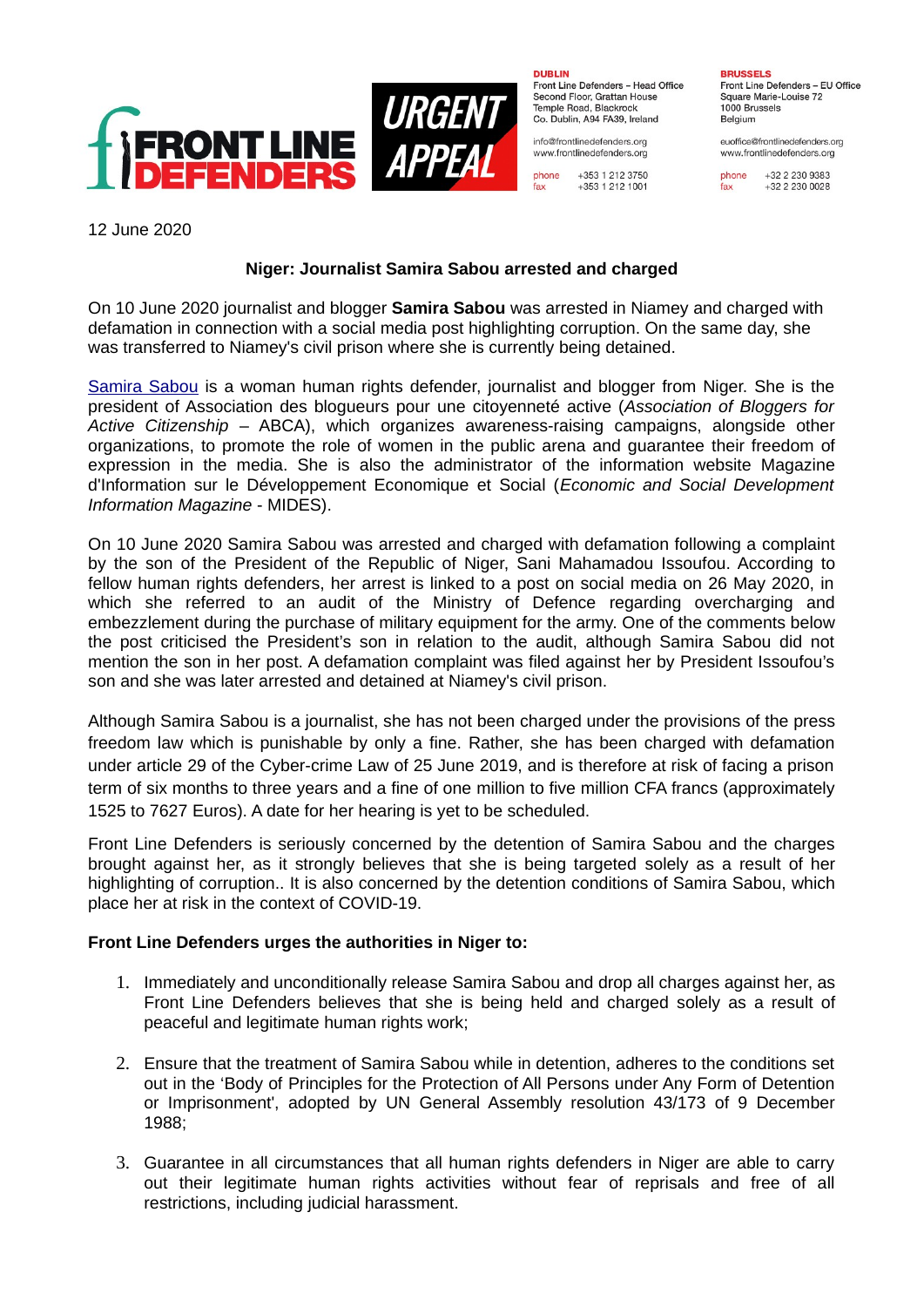

**DUBLIN** 

Front Line Defenders - Head Office Second Floor, Grattan House Temple Road, Blackrock Co. Dublin, A94 FA39, Ireland

info@frontlinedefenders.org www.frontlinedefenders.org

+353 1 212 3750 phone +353 1 212 1001 **BRUSSELS** Front Line Defenders - EU Office Square Marie-Louise 72 1000 Brussels Belgium

euoffice@frontlinedefenders.org www.frontlinedefenders.org

+32 2 230 9383 phone fax +32 2 230 0028

12 June 2020

## **Niger: Journalist Samira Sabou arrested and charged**

On 10 June 2020 journalist and blogger **Samira Sabou** was arrested in Niamey and charged with defamation in connection with a social media post highlighting corruption. On the same day, she was transferred to Niamey's civil prison where she is currently being detained.

[Samira Sabou](https://www.frontlinedefenders.org/en/profile/samira-sabou) is a woman human rights defender, journalist and blogger from Niger. She is the president of Association des blogueurs pour une citoyenneté active (*Association of Bloggers for Active Citizenship* – ABCA), which organizes awareness-raising campaigns, alongside other organizations, to promote the role of women in the public arena and guarantee their freedom of expression in the media. She is also the administrator of the information website Magazine d'Information sur le Développement Economique et Social (*Economic and Social Development Information Magazine* - MIDES).

On 10 June 2020 Samira Sabou was arrested and charged with defamation following a complaint by the son of the President of the Republic of Niger, Sani Mahamadou Issoufou. According to fellow human rights defenders, her arrest is linked to a post on social media on 26 May 2020, in which she referred to an audit of the Ministry of Defence regarding overcharging and embezzlement during the purchase of military equipment for the army. One of the comments below the post criticised the President's son in relation to the audit, although Samira Sabou did not mention the son in her post. A defamation complaint was filed against her by President Issoufou's son and she was later arrested and detained at Niamey's civil prison.

Although Samira Sabou is a journalist, she has not been charged under the provisions of the press freedom law which is punishable by only a fine. Rather, she has been charged with defamation under article 29 of the Cyber-crime Law of 25 June 2019, and is therefore at risk of facing a prison term of six months to three years and a fine of one million to five million CFA francs (approximately 1525 to 7627 Euros). A date for her hearing is yet to be scheduled.

Front Line Defenders is seriously concerned by the detention of Samira Sabou and the charges brought against her, as it strongly believes that she is being targeted solely as a result of her highlighting of corruption.. It is also concerned by the detention conditions of Samira Sabou, which place her at risk in the context of COVID-19.

## **Front Line Defenders urges the authorities in Niger to:**

- 1. Immediately and unconditionally release Samira Sabou and drop all charges against her, as Front Line Defenders believes that she is being held and charged solely as a result of peaceful and legitimate human rights work;
- 2. Ensure that the treatment of Samira Sabou while in detention, adheres to the conditions set out in the 'Body of Principles for the Protection of All Persons under Any Form of Detention or Imprisonment', adopted by UN General Assembly resolution 43/173 of 9 December 1988;
- 3. Guarantee in all circumstances that all human rights defenders in Niger are able to carry out their legitimate human rights activities without fear of reprisals and free of all restrictions, including judicial harassment.